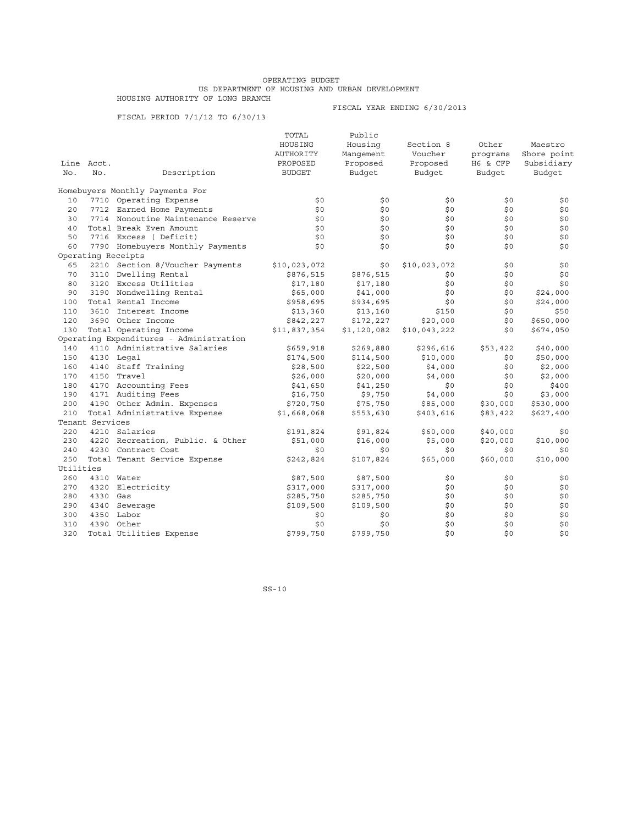## OPERATING BUDGET US DEPARTMENT OF HOUSING AND URBAN DEVELOPMENT HOUSING AUTHORITY OF LONG BRANCH

FISCAL PERIOD 7/1/12 TO 6/30/13

FISCAL YEAR ENDING 6/30/2013

|           |                 |                                         | TOTAL         | Public      |              |          |             |
|-----------|-----------------|-----------------------------------------|---------------|-------------|--------------|----------|-------------|
|           |                 |                                         | HOUSING       | Housing     | Section 8    | Other    | Maestro     |
|           |                 |                                         | AUTHORITY     | Manqement   | Voucher      | programs | Shore point |
|           | Line Acct.      |                                         | PROPOSED      | Proposed    | Proposed     | H6 & CFP | Subsidiary  |
| No.       | No.             | Description                             | <b>BUDGET</b> | Budget      | Budget       | Budget   | Budget      |
|           |                 | Homebuyers Monthly Payments For         |               |             |              |          |             |
| 10        |                 | 7710 Operating Expense                  | \$0           | \$0         | \$0          | \$0      | \$0         |
| 20        |                 | 7712 Earned Home Payments               | \$0           | \$0         | \$0          | \$0      | \$0         |
| 30        |                 | 7714 Nonoutine Maintenance Reserve      | \$0           | \$0         | \$0          | \$0      | \$0         |
| 40        |                 | Total Break Even Amount                 | \$0           | \$0         | \$0          | \$0      | \$0         |
| 50        |                 | 7716 Excess (Deficit)                   | \$0           | \$0         | \$0          | \$0      | \$0         |
| 60        |                 | 7790 Homebuyers Monthly Payments        | \$0           | \$0         | \$0          | \$0      | \$0         |
|           |                 | Operating Receipts                      |               |             |              |          |             |
| 65        |                 | 2210 Section 8/Voucher Payments         | \$10,023,072  | \$0         | \$10,023,072 | \$0      | \$0         |
| 70        |                 | 3110 Dwelling Rental                    | \$876,515     | \$876,515   | \$0          | \$0      | \$0         |
| 80        |                 | 3120 Excess Utilities                   | \$17,180      | \$17,180    | \$0          | \$0      | \$0         |
| 90        |                 | 3190 Nondwelling Rental                 | \$65,000      | \$41,000    | \$0          | \$0      | \$24,000    |
| 100       |                 | Total Rental Income                     | \$958,695     | \$934,695   | \$0          | \$0      | \$24,000    |
| 110       |                 | 3610 Interest Income                    | \$13,360      | \$13,160    | \$150        | \$0      | \$50        |
| 120       |                 | 3690 Other Income                       | \$842,227     | \$172,227   | \$20,000     | \$0      | \$650,000   |
| 130       |                 | Total Operating Income                  | \$11,837,354  | \$1,120,082 | \$10,043,222 | \$0      | \$674,050   |
|           |                 | Operating Expenditures - Administration |               |             |              |          |             |
| 140       |                 | 4110 Administrative Salaries            | \$659,918     | \$269,880   | \$296,616    | \$53,422 | \$40,000    |
| 150       |                 | 4130 Legal                              | \$174,500     | \$114,500   | \$10,000     | \$0      | \$50,000    |
| 160       |                 | 4140 Staff Training                     | \$28,500      | \$22,500    | \$4,000      | \$0      | \$2,000     |
| 170       |                 | 4150 Travel                             | \$26,000      | \$20,000    | \$4,000      | \$0      | \$2,000     |
| 180       |                 | 4170 Accounting Fees                    | \$41,650      | \$41,250    | \$0          | \$0      | \$400       |
| 190       |                 | 4171 Auditing Fees                      | \$16,750      | \$9,750     | \$4,000      | \$0      | \$3,000     |
| 200       |                 | 4190 Other Admin. Expenses              | \$720,750     | \$75,750    | \$85,000     | \$30,000 | \$530,000   |
| 210       |                 | Total Administrative Expense            | \$1,668,068   | \$553,630   | \$403,616    | \$83,422 | \$627,400   |
|           | Tenant Services |                                         |               |             |              |          |             |
| 220       |                 | 4210 Salaries                           | \$191,824     | \$91,824    | \$60,000     | \$40,000 | \$0         |
| 230       |                 | 4220 Recreation, Public. & Other        | \$51,000      | \$16,000    | \$5,000      | \$20,000 | \$10,000    |
| 240       |                 | 4230 Contract Cost                      | \$0           | \$0         | \$0          | \$0      | \$0         |
| 250       |                 | Total Tenant Service Expense            | \$242,824     | \$107,824   | \$65,000     | \$60,000 | \$10,000    |
| Utilities |                 |                                         |               |             |              |          |             |
| 260       |                 | 4310 Water                              | \$87,500      | \$87,500    | \$0          | \$0      | \$0         |
| 270       |                 | 4320 Electricity                        | \$317,000     | \$317,000   | \$0          | \$0      | \$0         |
| 280       | 4330 Gas        |                                         | \$285,750     | \$285,750   | \$0          | \$0      | \$0         |
| 290       |                 | 4340 Sewerage                           | \$109,500     | \$109,500   | \$0          | \$0      | \$0         |
| 300       |                 | 4350 Labor                              | \$0           | \$0         | \$0          | \$0      | \$0         |
| 310       |                 | 4390 Other                              | \$0           | \$0         | \$0          | \$0      | \$0         |
| 320       |                 | Total Utilities Expense                 | \$799,750     | \$799,750   | \$0          | \$0      | \$0         |
|           |                 |                                         |               |             |              |          |             |

SS-10